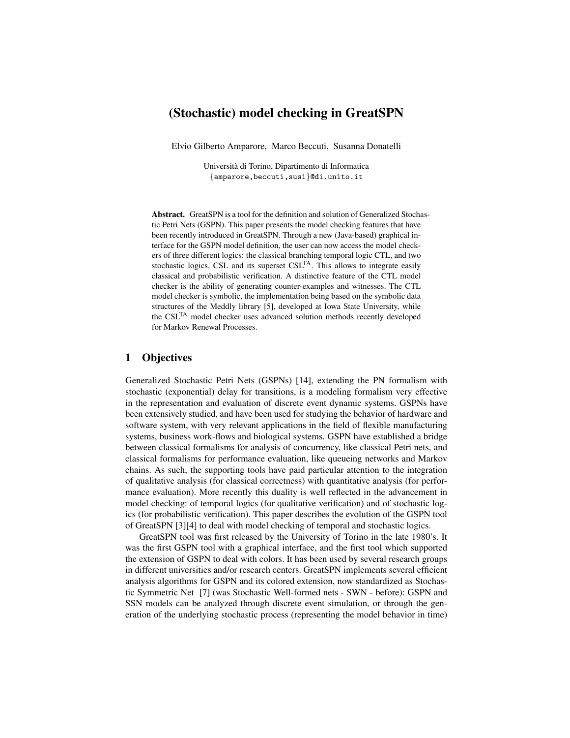# (Stochastic) model checking in GreatSPN

Elvio Gilberto Amparore, Marco Beccuti, Susanna Donatelli

Universita di Torino, Dipartimento di Informatica ` {amparore,beccuti,susi}@di.unito.it

Abstract. GreatSPN is a tool for the definition and solution of Generalized Stochastic Petri Nets (GSPN). This paper presents the model checking features that have been recently introduced in GreatSPN. Through a new (Java-based) graphical interface for the GSPN model definition, the user can now access the model checkers of three different logics: the classical branching temporal logic CTL, and two stochastic logics, CSL and its superset CSL<sup>TA</sup>. This allows to integrate easily classical and probabilistic verification. A distinctive feature of the CTL model checker is the ability of generating counter-examples and witnesses. The CTL model checker is symbolic, the implementation being based on the symbolic data structures of the Meddly library [5], developed at Iowa State University, while the CSLTA model checker uses advanced solution methods recently developed for Markov Renewal Processes.

# 1 Objectives

Generalized Stochastic Petri Nets (GSPNs) [14], extending the PN formalism with stochastic (exponential) delay for transitions, is a modeling formalism very effective in the representation and evaluation of discrete event dynamic systems. GSPNs have been extensively studied, and have been used for studying the behavior of hardware and software system, with very relevant applications in the field of flexible manufacturing systems, business work-flows and biological systems. GSPN have established a bridge between classical formalisms for analysis of concurrency, like classical Petri nets, and classical formalisms for performance evaluation, like queueing networks and Markov chains. As such, the supporting tools have paid particular attention to the integration of qualitative analysis (for classical correctness) with quantitative analysis (for performance evaluation). More recently this duality is well reflected in the advancement in model checking: of temporal logics (for qualitative verification) and of stochastic logics (for probabilistic verification). This paper describes the evolution of the GSPN tool of GreatSPN [3][4] to deal with model checking of temporal and stochastic logics.

GreatSPN tool was first released by the University of Torino in the late 1980's. It was the first GSPN tool with a graphical interface, and the first tool which supported the extension of GSPN to deal with colors. It has been used by several research groups in different universities and/or research centers. GreatSPN implements several efficient analysis algorithms for GSPN and its colored extension, now standardized as Stochastic Symmetric Net [7] (was Stochastic Well-formed nets - SWN - before): GSPN and SSN models can be analyzed through discrete event simulation, or through the generation of the underlying stochastic process (representing the model behavior in time)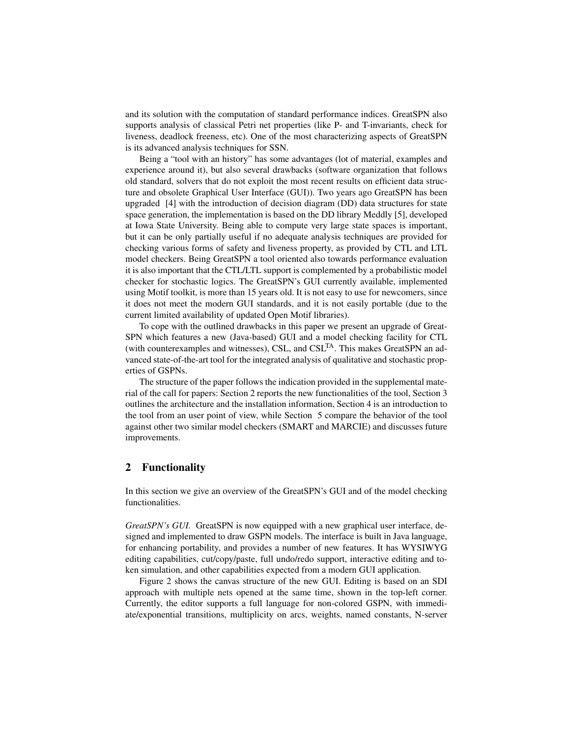and its solution with the computation of standard performance indices. GreatSPN also supports analysis of classical Petri net properties (like P- and T-invariants, check for liveness, deadlock freeness, etc). One of the most characterizing aspects of GreatSPN is its advanced analysis techniques for SSN.

Being a "tool with an history" has some advantages (lot of material, examples and experience around it), but also several drawbacks (software organization that follows old standard, solvers that do not exploit the most recent results on efficient data structure and obsolete Graphical User Interface (GUI)). Two years ago GreatSPN has been upgraded [4] with the introduction of decision diagram (DD) data structures for state space generation, the implementation is based on the DD library Meddly [5], developed at Iowa State University. Being able to compute very large state spaces is important, but it can be only partially useful if no adequate analysis techniques are provided for checking various forms of safety and liveness property, as provided by CTL and LTL model checkers. Being GreatSPN a tool oriented also towards performance evaluation it is also important that the CTL/LTL support is complemented by a probabilistic model checker for stochastic logics. The GreatSPN's GUI currently available, implemented using Motif toolkit, is more than 15 years old. It is not easy to use for newcomers, since it does not meet the modern GUI standards, and it is not easily portable (due to the current limited availability of updated Open Motif libraries).

To cope with the outlined drawbacks in this paper we present an upgrade of Great-SPN which features a new (Java-based) GUI and a model checking facility for CTL (with counterexamples and witnesses), CSL, and CSLTA. This makes GreatSPN an advanced state-of-the-art tool for the integrated analysis of qualitative and stochastic properties of GSPNs.

The structure of the paper follows the indication provided in the supplemental material of the call for papers: Section 2 reports the new functionalities of the tool, Section 3 outlines the architecture and the installation information, Section 4 is an introduction to the tool from an user point of view, while Section 5 compare the behavior of the tool against other two similar model checkers (SMART and MARCIE) and discusses future improvements.

# 2 Functionality

In this section we give an overview of the GreatSPN's GUI and of the model checking functionalities.

*GreatSPN's GUI.* GreatSPN is now equipped with a new graphical user interface, designed and implemented to draw GSPN models. The interface is built in Java language, for enhancing portability, and provides a number of new features. It has WYSIWYG editing capabilities, cut/copy/paste, full undo/redo support, interactive editing and token simulation, and other capabilities expected from a modern GUI application.

Figure 2 shows the canvas structure of the new GUI. Editing is based on an SDI approach with multiple nets opened at the same time, shown in the top-left corner. Currently, the editor supports a full language for non-colored GSPN, with immediate/exponential transitions, multiplicity on arcs, weights, named constants, N-server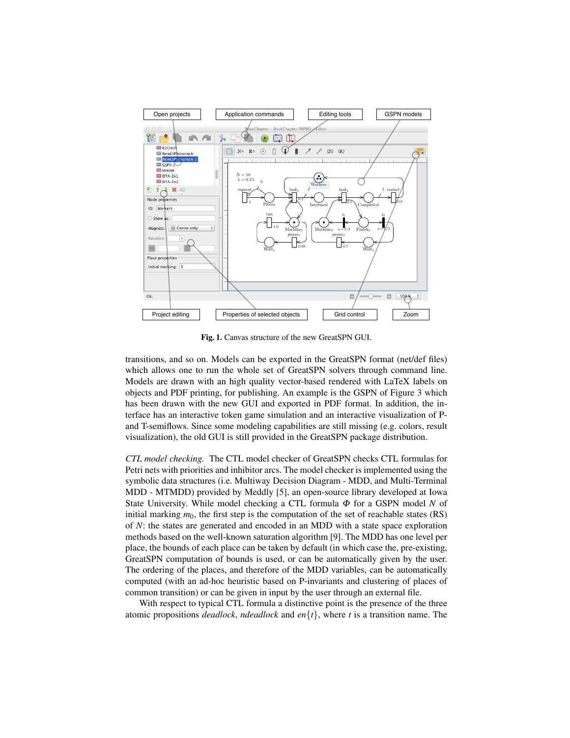

Fig. 1. Canvas structure of the new GreatSPN GUI.

transitions, and so on. Models can be exported in the GreatSPN format (net/def files) which allows one to run the whole set of GreatSPN solvers through command line. Models are drawn with an high quality vector-based rendered with LaTeX labels on objects and PDF printing, for publishing. An example is the GSPN of Figure 3 which has been drawn with the new GUI and exported in PDF format. In addition, the interface has an interactive token game simulation and an interactive visualization of Pand T-semiflows. Since some modeling capabilities are still missing (e.g. colors, result visualization), the old GUI is still provided in the GreatSPN package distribution.

*CTL model checking.* The CTL model checker of GreatSPN checks CTL formulas for Petri nets with priorities and inhibitor arcs. The model checker is implemented using the symbolic data structures (i.e. Multiway Decision Diagram - MDD, and Multi-Terminal MDD - MTMDD) provided by Meddly [5], an open-source library developed at Iowa State University. While model checking a CTL formula Φ for a GSPN model *N* of initial marking  $m_0$ , the first step is the computation of the set of reachable states (RS) of *N*: the states are generated and encoded in an MDD with a state space exploration methods based on the well-known saturation algorithm [9]. The MDD has one level per place, the bounds of each place can be taken by default (in which case the, pre-existing, GreatSPN computation of bounds is used, or can be automatically given by the user. The ordering of the places, and therefore of the MDD variables, can be automatically computed (with an ad-hoc heuristic based on P-invariants and clustering of places of common transition) or can be given in input by the user through an external file.

With respect to typical CTL formula a distinctive point is the presence of the three atomic propositions *deadlock*, *ndeadlock* and *en*{*t*}, where *t* is a transition name. The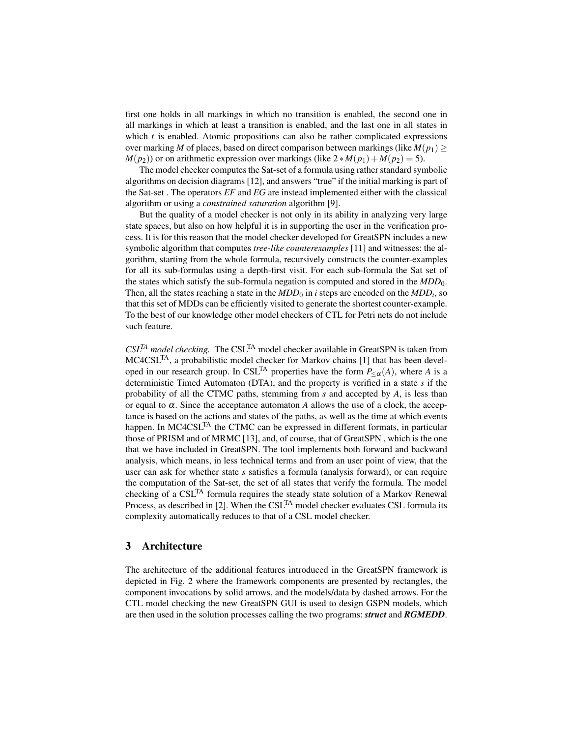first one holds in all markings in which no transition is enabled, the second one in all markings in which at least a transition is enabled, and the last one in all states in which  $t$  is enabled. Atomic propositions can also be rather complicated expressions over marking *M* of places, based on direct comparison between markings (like  $M(p_1) \geq$  $M(p_2)$ ) or on arithmetic expression over markings (like  $2*M(p_1) + M(p_2) = 5$ ).

The model checker computes the Sat-set of a formula using rather standard symbolic algorithms on decision diagrams [12], and answers "true" if the initial marking is part of the Sat-set . The operators *EF* and *EG* are instead implemented either with the classical algorithm or using a *constrained saturation* algorithm [9].

But the quality of a model checker is not only in its ability in analyzing very large state spaces, but also on how helpful it is in supporting the user in the verification process. It is for this reason that the model checker developed for GreatSPN includes a new symbolic algorithm that computes *tree-like counterexamples* [11] and witnesses: the algorithm, starting from the whole formula, recursively constructs the counter-examples for all its sub-formulas using a depth-first visit. For each sub-formula the Sat set of the states which satisfy the sub-formula negation is computed and stored in the *MDD*0. Then, all the states reaching a state in the  $MDD_0$  in *i* steps are encoded on the  $MDD_i$ , so that this set of MDDs can be efficiently visited to generate the shortest counter-example. To the best of our knowledge other model checkers of CTL for Petri nets do not include such feature.

*CSLTA model checking.* The CSLTA model checker available in GreatSPN is taken from MC4CSLTA, a probabilistic model checker for Markov chains [1] that has been developed in our research group. In CSL<sup>TA</sup> properties have the form  $P_{\leq \alpha}(A)$ , where *A* is a deterministic Timed Automaton (DTA), and the property is verified in a state *s* if the probability of all the CTMC paths, stemming from *s* and accepted by *A*, is less than or equal to  $\alpha$ . Since the acceptance automaton  $A$  allows the use of a clock, the acceptance is based on the actions and states of the paths, as well as the time at which events happen. In MC4CSL<sup>TA</sup> the CTMC can be expressed in different formats, in particular those of PRISM and of MRMC [13], and, of course, that of GreatSPN , which is the one that we have included in GreatSPN. The tool implements both forward and backward analysis, which means, in less technical terms and from an user point of view, that the user can ask for whether state *s* satisfies a formula (analysis forward), or can require the computation of the Sat-set, the set of all states that verify the formula. The model checking of a CSL<sup>TA</sup> formula requires the steady state solution of a Markov Renewal Process, as described in [2]. When the  $CSL<sup>TA</sup>$  model checker evaluates CSL formula its complexity automatically reduces to that of a CSL model checker.

# 3 Architecture

The architecture of the additional features introduced in the GreatSPN framework is depicted in Fig. 2 where the framework components are presented by rectangles, the component invocations by solid arrows, and the models/data by dashed arrows. For the CTL model checking the new GreatSPN GUI is used to design GSPN models, which are then used in the solution processes calling the two programs: *struct* and *RGMEDD*.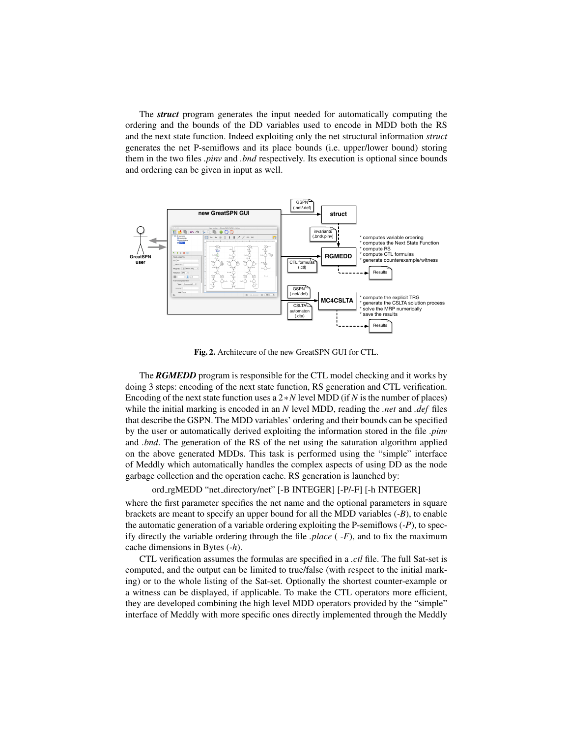The *struct* program generates the input needed for automatically computing the ordering and the bounds of the DD variables used to encode in MDD both the RS and the next state function. Indeed exploiting only the net structural information *struct* generates the net P-semiflows and its place bounds (i.e. upper/lower bound) storing them in the two files *.pinv* and *.bnd* respectively. Its execution is optional since bounds and ordering can be given in input as well.



Fig. 2. Architecure of the new GreatSPN GUI for CTL.

The *RGMEDD* program is responsible for the CTL model checking and it works by doing 3 steps: encoding of the next state function, RS generation and CTL verification. Encoding of the next state function uses a 2∗*N* level MDD (if *N* is the number of places) while the initial marking is encoded in an *N* level MDD, reading the *.net* and *.def* files that describe the GSPN. The MDD variables' ordering and their bounds can be specified by the user or automatically derived exploiting the information stored in the file *.pinv* and *.bnd*. The generation of the RS of the net using the saturation algorithm applied on the above generated MDDs. This task is performed using the "simple" interface of Meddly which automatically handles the complex aspects of using DD as the node garbage collection and the operation cache. RS generation is launched by:

#### ord rgMEDD "net directory/net" [-B INTEGER] [-P/-F] [-h INTEGER]

where the first parameter specifies the net name and the optional parameters in square brackets are meant to specify an upper bound for all the MDD variables (*-B*), to enable the automatic generation of a variable ordering exploiting the P-semiflows (*-P*), to specify directly the variable ordering through the file *.place* ( *-F*), and to fix the maximum cache dimensions in Bytes (*-h*).

CTL verification assumes the formulas are specified in a *.ctl* file. The full Sat-set is computed, and the output can be limited to true/false (with respect to the initial marking) or to the whole listing of the Sat-set. Optionally the shortest counter-example or a witness can be displayed, if applicable. To make the CTL operators more efficient, they are developed combining the high level MDD operators provided by the "simple" interface of Meddly with more specific ones directly implemented through the Meddly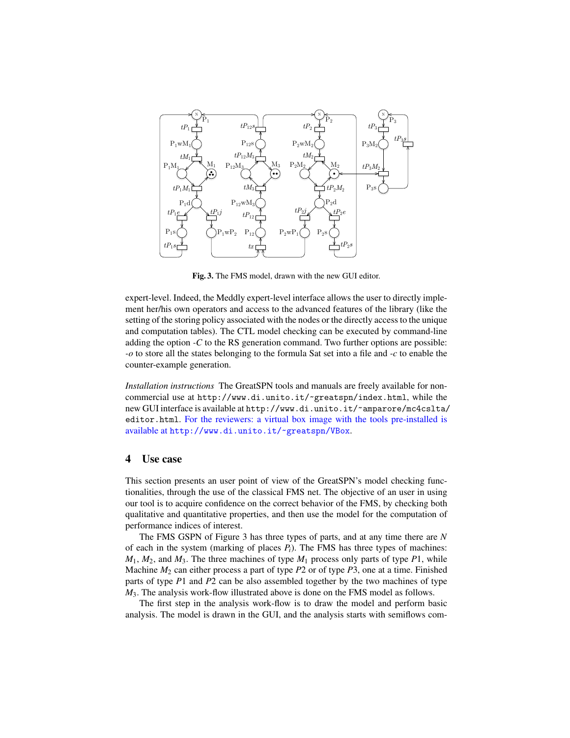

Fig. 3. The FMS model, drawn with the new GUI editor.

expert-level. Indeed, the Meddly expert-level interface allows the user to directly implement her/his own operators and access to the advanced features of the library (like the setting of the storing policy associated with the nodes or the directly access to the unique and computation tables). The CTL model checking can be executed by command-line adding the option *-C* to the RS generation command. Two further options are possible: *-o* to store all the states belonging to the formula Sat set into a file and *-c* to enable the counter-example generation.

*Installation instructions* The GreatSPN tools and manuals are freely available for noncommercial use at http://www.di.unito.it/~greatspn/index.html, while the new GUI interface is available at http://www.di.unito.it/~amparore/mc4cslta/ editor.html. For the reviewers: a virtual box image with the tools pre-installed is available at http://www.di.unito.it/~greatspn/VBox.

## 4 Use case

This section presents an user point of view of the GreatSPN's model checking functionalities, through the use of the classical FMS net. The objective of an user in using our tool is to acquire confidence on the correct behavior of the FMS, by checking both qualitative and quantitative properties, and then use the model for the computation of performance indices of interest.

The FMS GSPN of Figure 3 has three types of parts, and at any time there are *N* of each in the system (marking of places  $P_i$ ). The FMS has three types of machines:  $M_1$ ,  $M_2$ , and  $M_3$ . The three machines of type  $M_1$  process only parts of type  $P_1$ , while Machine *M*<sup>2</sup> can either process a part of type *P*2 or of type *P*3, one at a time. Finished parts of type *P*1 and *P*2 can be also assembled together by the two machines of type *M*3. The analysis work-flow illustrated above is done on the FMS model as follows.

The first step in the analysis work-flow is to draw the model and perform basic analysis. The model is drawn in the GUI, and the analysis starts with semiflows com-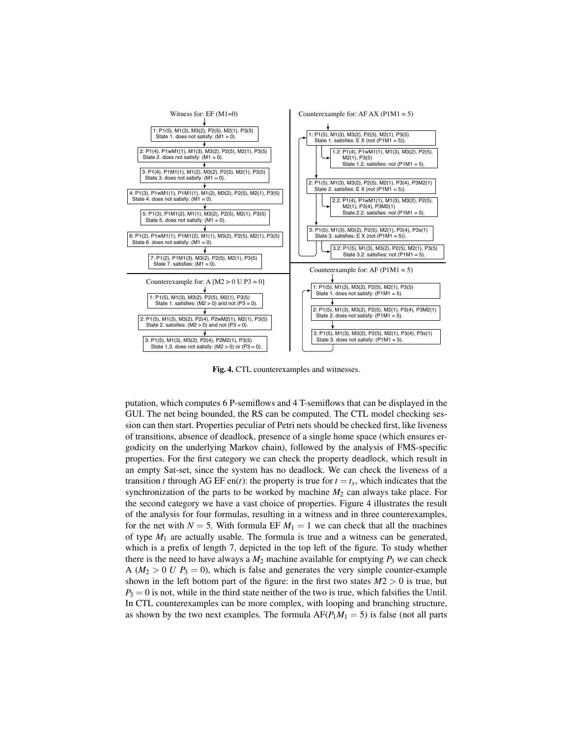

Fig. 4. CTL counterexamples and witnesses.

putation, which computes 6 P-semiflows and 4 T-semiflows that can be displayed in the GUI. The net being bounded, the RS can be computed. The CTL model checking session can then start. Properties peculiar of Petri nets should be checked first, like liveness of transitions, absence of deadlock, presence of a single home space (which ensures ergodicity on the underlying Markov chain), followed by the analysis of FMS-specific properties. For the first category we can check the property deadlock, which result in an empty Sat-set, since the system has no deadlock. We can check the liveness of a transition *t* through AG EF en(*t*): the property is true for  $t = t_x$ , which indicates that the synchronization of the parts to be worked by machine  $M_2$  can always take place. For the second category we have a vast choice of properties. Figure 4 illustrates the result of the analysis for four formulas, resulting in a witness and in three counterexamples, for the net with  $N = 5$ . With formula EF  $M_1 = 1$  we can check that all the machines of type  $M_1$  are actually usable. The formula is true and a witness can be generated, which is a prefix of length 7, depicted in the top left of the figure. To study whether there is the need to have always a  $M_2$  machine available for emptying  $P_3$  we can check A ( $M_2 > 0$  *U P*<sub>3</sub> = 0), which is false and generates the very simple counter-example shown in the left bottom part of the figure: in the first two states  $M2 > 0$  is true, but  $P_3 = 0$  is not, while in the third state neither of the two is true, which falsifies the Until. In CTL counterexamples can be more complex, with looping and branching structure, as shown by the two next examples. The formula  $AF(P<sub>1</sub>M<sub>1</sub> = 5)$  is false (not all parts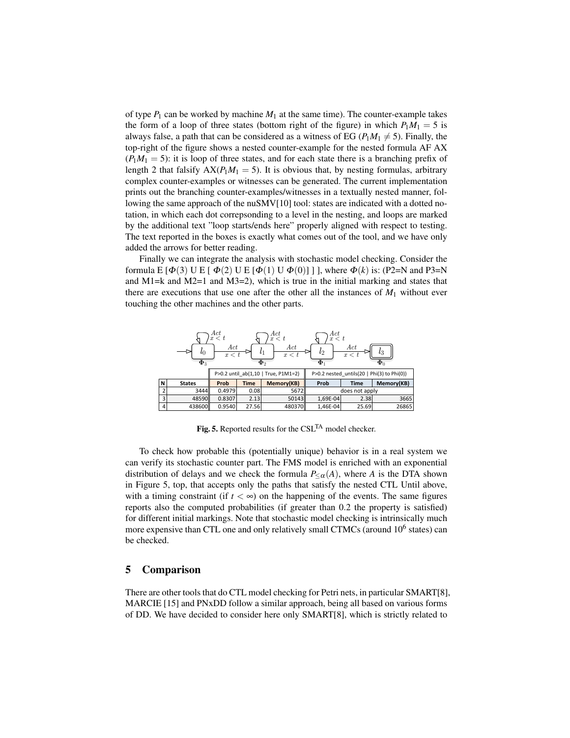of type  $P_1$  can be worked by machine  $M_1$  at the same time). The counter-example takes the form of a loop of three states (bottom right of the figure) in which  $P_1M_1 = 5$  is always false, a path that can be considered as a witness of EG ( $P_1M_1 \neq 5$ ). Finally, the top-right of the figure shows a nested counter-example for the nested formula AF AX  $(P_1M_1 = 5)$ : it is loop of three states, and for each state there is a branching prefix of length 2 that falsify  $AX(P_1M_1 = 5)$ . It is obvious that, by nesting formulas, arbitrary complex counter-examples or witnesses can be generated. The current implementation prints out the branching counter-examples/witnesses in a textually nested manner, following the same approach of the nuSMV[10] tool: states are indicated with a dotted notation, in which each dot correpsonding to a level in the nesting, and loops are marked by the additional text "loop starts/ends here" properly aligned with respect to testing. The text reported in the boxes is exactly what comes out of the tool, and we have only added the arrows for better reading.

Finally we can integrate the analysis with stochastic model checking. Consider the formula E  $\lceil \Phi(3) \cup E \rceil \Phi(2) \cup E \lceil \Phi(1) \cup \Phi(0) \rceil \rceil$ , where  $\Phi(k)$  is: (P2=N and P3=N and M1=k and M2=1 and M3=2), which is true in the initial marking and states that there are executions that use one after the other all the instances of  $M_1$  without ever touching the other machines and the other parts.



Fig. 5. Reported results for the CSL<sup>TA</sup> model checker.

can verify its stochastic counter part. The FMS model is enriched with an exponential distribution of delays and we check the formula  $P_{\leq \alpha}(A)$ , where *A* is the DTA shown To check how probable this (potentially unique) behavior is in a real system we in Figure 5, top, that accepts only the paths that satisfy the nested CTL Until above, with a timing constraint (if  $t < \infty$ ) on the happening of the events. The same figures reports also the computed probabilities (if greater than 0.2 the property is satisfied) for different initial markings. Note that stochastic model checking is intrinsically much more expensive than CTL one and only relatively small CTMCs (around  $10^6$  states) can be checked.

# 5 Comparison

There are other tools that do CTL model checking for Petri nets, in particular SMART[8], MARCIE [15] and PNxDD follow a similar approach, being all based on various forms of DD. We have decided to consider here only SMART[8], which is strictly related to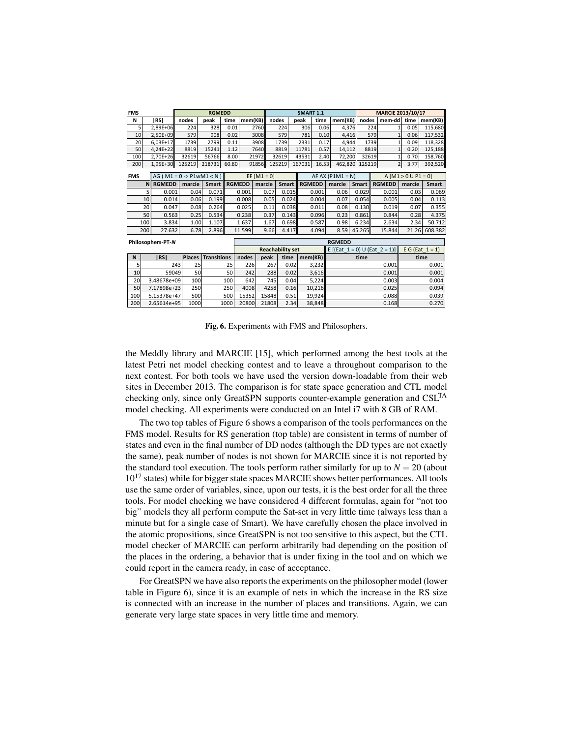| <b>FMS</b> |                                    | <b>RGMEDD</b>                         |                    |       |                |               | <b>SMART 1.1</b>        |                    |       |                                                            |        | MARCIE 2013/10/17     |      |                    |  |
|------------|------------------------------------|---------------------------------------|--------------------|-------|----------------|---------------|-------------------------|--------------------|-------|------------------------------------------------------------|--------|-----------------------|------|--------------------|--|
| N          | <b>IRSI</b>                        | nodes                                 | peak               |       | time   mem(KB) | nodes         |                         | peak               |       | time   mem $(KB)$                                          |        | nodes   mem-dd   time |      | mem(KB)            |  |
|            | 2,89E+06                           | 224                                   | 328                | 0.01  |                | 2760          | 224                     | 306                | 0.06  | 4,376                                                      | 224    |                       | 0.05 | 115,680            |  |
| 10         | 2,50E+09                           | 579                                   | 908                | 0.02  |                | 3008          | 579                     | 781                | 0.10  | 4,416                                                      | 579    |                       | 0.06 | 117,532            |  |
| 20         | 6,03E+17                           | 1739                                  | 2799               | 0.11  |                | 3908          | 1739                    | 2331               | 0.17  | 4,944                                                      | 1739   |                       | 0.09 | 118,328            |  |
| 50         | 4,24E+22                           | 8819                                  | 15241              | 1.12  |                | 7640          | 8819                    | 11781              | 0.57  | 14,112                                                     | 8819   |                       | 0.20 | 125,188            |  |
| 100        | 2,70E+26                           | 32619                                 | 56766              | 8.00  | 21972          |               | 32619                   | 43531              | 2.40  | 72,200                                                     | 32619  |                       | 0.70 | 158,760            |  |
| 200        | 1,95E+30                           | 125219                                | 218731             | 60.80 | 91856          |               | 125219                  | 167031             | 16.53 | 462,820                                                    | 125219 |                       | 3.77 | 392,520            |  |
| <b>FMS</b> |                                    | $AG (M1 = 0 \rightarrow P1wM1 \le N)$ |                    |       |                | $EF [M1 = 0]$ |                         |                    |       | AF AX $(P1M1 = N)$                                         |        | $A$ [M1 > 0 U P1 = 0] |      |                    |  |
|            | N RGMEDD   marcie   Smart   RGMEDD |                                       |                    |       |                |               |                         |                    |       | marcie   Smart   RGMEDD   marcie   Smart   RGMEDD   marcie |        |                       |      | Smart              |  |
|            | 0.001                              | 0.04                                  |                    | 0.071 | 0.001          | 0.07          | 0.015                   |                    | 0.001 | 0.06                                                       | 0.029  | 0.001                 | 0.03 | 0.069              |  |
| 10         | 0.014                              | 0.06                                  |                    | 0.199 | 0.008          | 0.05          | 0.024                   |                    | 0.004 | 0.07                                                       | 0.054  | 0.005                 | 0.04 | 0.113              |  |
| 20         | 0.047                              | 0.08                                  |                    | 0.264 | 0.025          | 0.11          | 0.038                   |                    | 0.011 | 0.08                                                       | 0.130  | 0.019                 | 0.07 | 0.355              |  |
| 50         | 0.563                              | 0.25                                  |                    | 0.534 | 0.238          | 0.37          | 0.143                   |                    | 0.096 | 0.23                                                       | 0.861  | 0.844                 | 0.28 | 4.375              |  |
| 100        | 3.834                              | 1.00                                  |                    | 1.107 | 1.637          | 1.67          | 0.698                   |                    | 0.587 | 0.98                                                       | 6.234  | 2.634                 | 2.34 | 50.712             |  |
| 200        | 27.632                             | 6.78                                  | 2.896              |       | 11.599         | 9.66          | 4.417                   |                    | 4.094 | 8.59                                                       | 45.265 | 15.844                |      | 21.26 608.382      |  |
|            | <b>RGMEDD</b><br>Philosophers-PT-N |                                       |                    |       |                |               |                         |                    |       |                                                            |        |                       |      |                    |  |
|            |                                    |                                       |                    |       |                |               | <b>Reachability set</b> |                    |       | E [(Eat $1 = 0$ ) U (Eat $2 = 1$ )]                        |        |                       |      | E G (Eat $1 = 1$ ) |  |
| N          | RS                                 |                                       | Places Transitions |       | nodes          | peak          |                         | time   mem( $KB$ ) |       |                                                            | time   |                       |      | time               |  |
| .5         | 243                                |                                       | 25                 | 25    | 226            | 267           | 0.02                    | 3,232              |       |                                                            |        | 0.001                 |      | 0.001              |  |
| 10         | 59049                              |                                       | 50                 | 50    | 242            | 288           | 0.02                    | 3,616              |       |                                                            |        | 0.001                 |      | 0.001              |  |
| 20         | 3.48678e+09                        | 100                                   |                    | 100   | 642            | 745           | 0.04                    | 5,224              |       |                                                            |        | 0.003                 |      | 0.004              |  |
| 50         | 7.17898e+23                        | 250                                   |                    | 250   | 4008           | 4258          | 0.16                    | 10,216             |       |                                                            |        | 0.025                 |      | 0.094              |  |
| 100        | 5.15378e+47                        | 500                                   |                    | 500   | 15352          | 15848         | 0.51                    | 19,924             |       |                                                            |        | 0.088                 |      | 0.039              |  |
| 200        | 2.65614e+95                        | 1000                                  |                    | 1000  | 20800          | 21808         | 2.34                    | 38,848             |       |                                                            |        | 0.168                 |      | 0.270              |  |

Fig. 6. Experiments with FMS and Philosophers.

the Meddly library and MARCIE [15], which performed among the best tools at the latest Petri net model checking contest and to leave a throughout comparison to the next contest. For both tools we have used the version down-loadable from their web sites in December 2013. The comparison is for state space generation and CTL model checking only, since only GreatSPN supports counter-example generation and CSL<sup>TA</sup> model checking. All experiments were conducted on an Intel i7 with 8 GB of RAM.

The two top tables of Figure 6 shows a comparison of the tools performances on the FMS model. Results for RS generation (top table) are consistent in terms of number of states and even in the final number of DD nodes (although the DD types are not exactly the same), peak number of nodes is not shown for MARCIE since it is not reported by the standard tool execution. The tools perform rather similarly for up to  $N = 20$  (about  $10^{17}$  states) while for bigger state spaces MARCIE shows better performances. All tools use the same order of variables, since, upon our tests, it is the best order for all the three tools. For model checking we have considered 4 different formulas, again for "not too big" models they all perform compute the Sat-set in very little time (always less than a minute but for a single case of Smart). We have carefully chosen the place involved in the atomic propositions, since GreatSPN is not too sensitive to this aspect, but the CTL model checker of MARCIE can perform arbitrarily bad depending on the position of the places in the ordering, a behavior that is under fixing in the tool and on which we could report in the camera ready, in case of acceptance.

For GreatSPN we have also reports the experiments on the philosopher model (lower table in Figure 6), since it is an example of nets in which the increase in the RS size is connected with an increase in the number of places and transitions. Again, we can generate very large state spaces in very little time and memory.